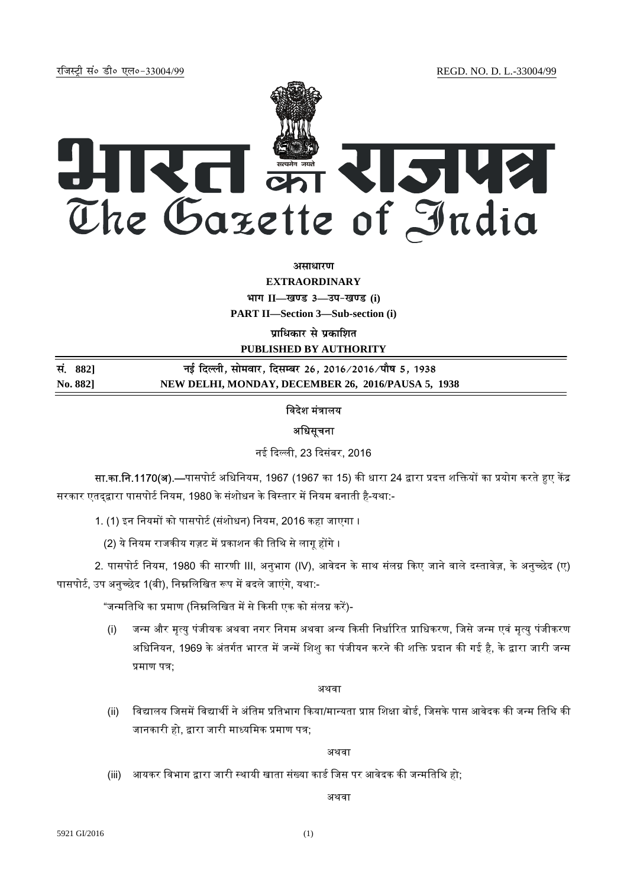jftLVªh laö Mhö ,yö&33004@99 REGD. NO. D. L.-33004/99



# **असाधार**ण

**EXTRAORDINARY Hkkx II—[k.M 3—mi&[k.M (i) PART II—Section 3—Sub-section (i) प्राधिकार से प्रकाशित PUBLISHED BY AUTHORITY**

**la- 882] ubZ fnYyh] lkseokj] fnlEcj 26] 2016@2016@ikS"k 5] 1938 No. 882] NEW DELHI, MONDAY, DECEMBER 26, 2016/PAUSA 5, 1938**

# विदेश मंत्रालय

## अधिसूचना

नई दिल्ली, 23 दिसंबर, 2016

सा.का.नि.1170(अ).—पासपोर्ट अधिनियम, 1967 (1967 का 15) की धारा 24 द्वारा प्रदत्त शक्तियों का प्रयोग करते हुए केंद्र सरकार एतद्द्वारा पासपोर्ट नियम, 1980 के संशोधन के विस्तार में नियम बनाती है-यथा:-

1. (1) इन नियमों को पासपोर्ट (संशोधन) नियम, 2016 कहा जाएगा ।

(2) ये नियम राजकीय गज़ट में प्रकाशन की तिथि से लागू होंगे ।

2. पासपोर्ट नियम, 1980 की सारणी III, अनुभाग (IV), आवेदन के साथ संलग्न किए जाने वाले दस्तावेज़, के अनुच्छेद (ए) पासपोर्ट, उप अनुच्छेद 1(बी), निम्नलिखित रूप में बदले जाएंगे, यथा:-

"जन्मतिथि का प्रमाण (निम्नलिखित में से किसी एक को संलग्न करें)-

(i) जन्म और मृत्यु पंजीयक अथवा नगर निगम अथवा अन्य किसी निर्धारित प्राधिकरण, जिसे जन्म एवं मृत्यु पंजीकरण अधिनियन, 1969 के अंतर्गत भारत में जन्में शिशु का पंजीयन करने की शक्ति प्रदान की गई है, के द्वारा जारी जन्म प्रमाण पत्र:

# अथवा

(ii) विद्यालय जिसमें विद्यार्थी ने अंतिम प्रतिभाग किया/मान्यता प्राप्त शिक्षा बोर्ड. जिसके पास आवेदक की जन्म तिथि की जानकारी हो, द्वारा जारी माध्यमिक प्रमाण पत्र;

अथवा

(iii) आयकर विभाग द्वारा जारी स्थायी खाता संख्या कार्ड जिस पर आवेदक की जन्मतिथि हो;

अथवा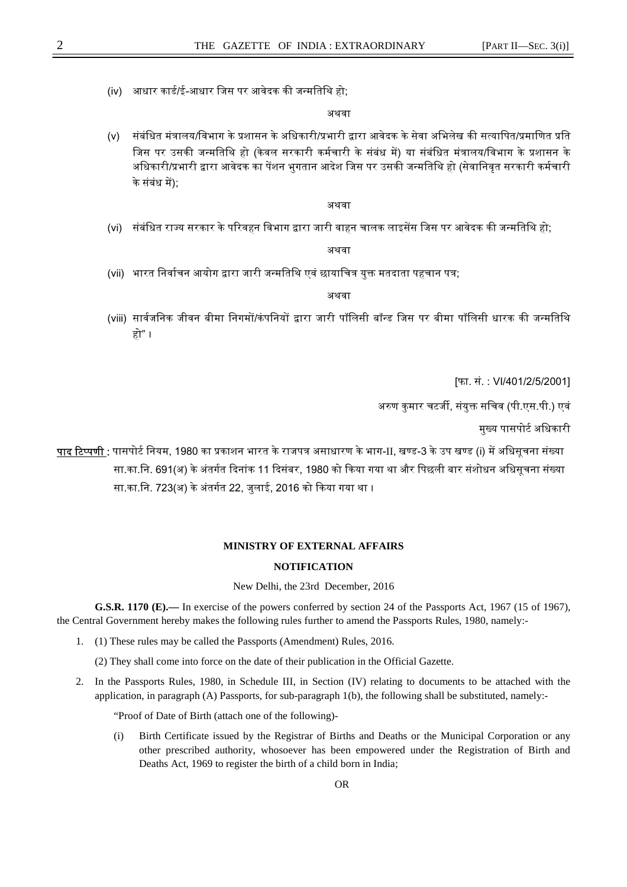(iv) आधार कार्ड/ई-आधार जिस पर आवेदक की जन्मतिथि हो;

#### अथवा

(v) संबंधित मंत्रालय/विभाग के प्रशासन के अधिकारी/प्रभारी द्वारा आवेदक के सेवा अभिलेख की सत्यापित/प्रमाणित प्रति जिस पर उसकी जन्मतिथि हो (केवल सरकारी कर्मचारी के संबंध में) या संबंधित मंत्रालय/विभाग के प्रशासन के अधिकारी/प्रभारी द्वारा आवेदक का पेंशन भुगतान आदेश जिस पर उसकी जन्मतिथि हो (सेवानिवृत सरकारी कर्मचारी के संबंध में):

#### अथवा

(vi) संबंधित राज्य सरकार के परिवहन विभाग द्वारा जारी वाहन चालक लाइसेंस जिस पर आवेदक की जन्मतिथि हो:

### अथवा

(vii) भारत निर्वाचन आयोग द्वारा जारी जन्मतिथि एवं छायाचित्र युक्त मतदाता पहचान पत्र;

## अथवा

(viii) सार्वजनिक जीवन बीमा निगमों/कंपनियों द्वारा जारी पॉलिसी बॉन्ड जिस पर बीमा पॉलिसी धारक की जन्मतिथि हो" ।

[फा. सं. : VI/401/2/5/2001]

अरुण कुमार चटर्जी, संयुक्त सचिव (पी.एस.पी.) एवं

मुख्य पासपोर्ट अधिकारी

<u>पाद टिप्पणी :</u> पासपोर्ट नियम, 1980 का प्रकाशन भारत के राजपत्र असाधारण के भाग-II, खण्ड-3 के उप खण्ड (i) में अधिसूचना संख्या सा.का.नि. 691(अ) के अंतर्गत दिनांक 11 दिसंबर, 1980 को किया गया था और पिछली बार संशोधन अधिसूचना संख्या सा.का.नि. 723(अ) के अंतर्गत 22, जुलाई, 2016 को किया गया था ।

## **MINISTRY OF EXTERNAL AFFAIRS**

# **NOTIFICATION**

New Delhi, the 23rd December, 2016

**G.S.R. 1170 (E).—** In exercise of the powers conferred by section 24 of the Passports Act, 1967 (15 of 1967), the Central Government hereby makes the following rules further to amend the Passports Rules, 1980, namely:-

1. (1) These rules may be called the Passports (Amendment) Rules, 2016.

(2) They shall come into force on the date of their publication in the Official Gazette.

2. In the Passports Rules, 1980, in Schedule III, in Section (IV) relating to documents to be attached with the application, in paragraph (A) Passports, for sub-paragraph 1(b), the following shall be substituted, namely:-

"Proof of Date of Birth (attach one of the following)-

(i) Birth Certificate issued by the Registrar of Births and Deaths or the Municipal Corporation or any other prescribed authority, whosoever has been empowered under the Registration of Birth and Deaths Act, 1969 to register the birth of a child born in India;